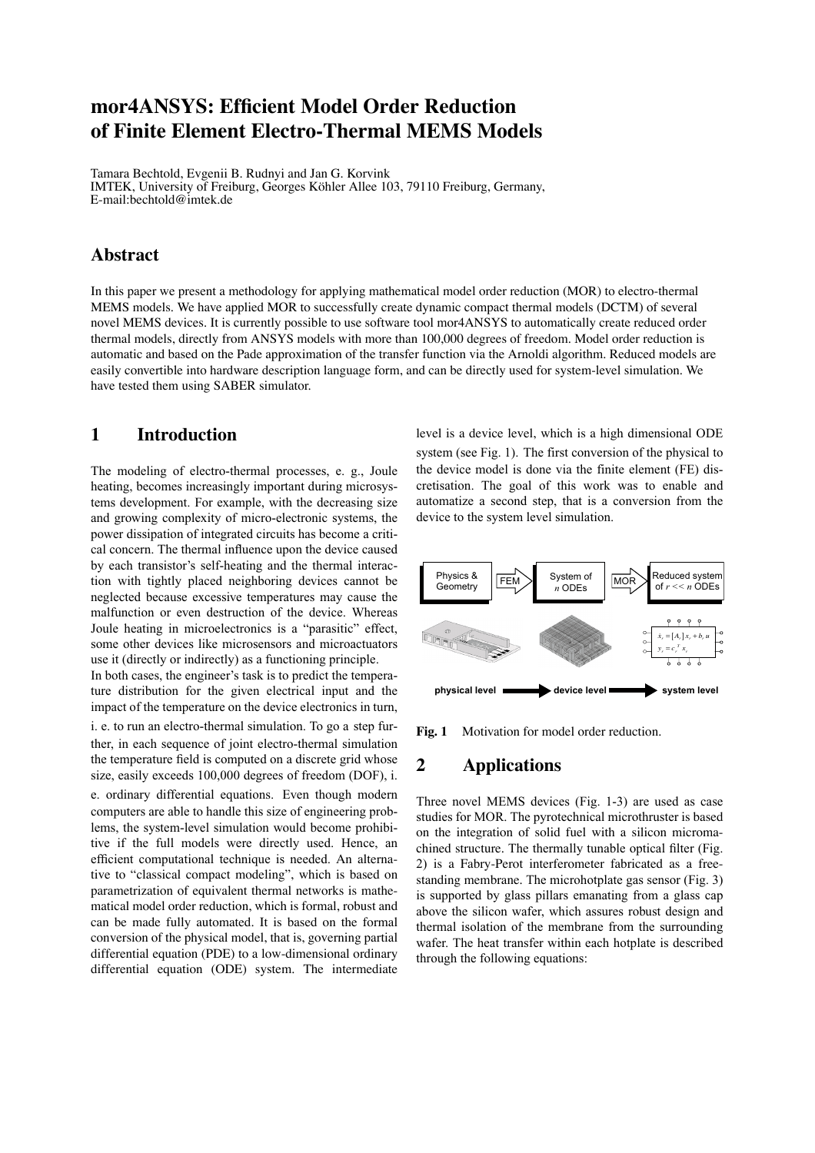# **mor4ANSYS: Efficient Model Order Reduction of Finite Element Electro-Thermal MEMS Models**

Tamara Bechtold, Evgenii B. Rudnyi and Jan G. Korvink IMTEK, University of Freiburg, Georges Köhler Allee 103, 79110 Freiburg, Germany, E-mail:bechtold@imtek.de

## **Abstract**

In this paper we present a methodology for applying mathematical model order reduction (MOR) to electro-thermal MEMS models. We have applied MOR to successfully create dynamic compact thermal models (DCTM) of several novel MEMS devices. It is currently possible to use software tool mor4ANSYS to automatically create reduced order thermal models, directly from ANSYS models with more than 100,000 degrees of freedom. Model order reduction is automatic and based on the Pade approximation of the transfer function via the Arnoldi algorithm. Reduced models are easily convertible into hardware description language form, and can be directly used for system-level simulation. We have tested them using SABER simulator.

### **1 Introduction**

The modeling of electro-thermal processes, e. g., Joule heating, becomes increasingly important during microsystems development. For example, with the decreasing size and growing complexity of micro-electronic systems, the power dissipation of integrated circuits has become a critical concern. The thermal influence upon the device caused by each transistor's self-heating and the thermal interaction with tightly placed neighboring devices cannot be neglected because excessive temperatures may cause the malfunction or even destruction of the device. Whereas Joule heating in microelectronics is a "parasitic" effect, some other devices like microsensors and microactuators use it (directly or indirectly) as a functioning principle.

In both cases, the engineer's task is to predict the temperature distribution for the given electrical input and the impact of the temperature on the device electronics in turn,

i. e. to run an electro-thermal simulation. To go a step further, in each sequence of joint electro-thermal simulation the temperature field is computed on a discrete grid whose size, easily exceeds 100,000 degrees of freedom (DOF), i.

e. ordinary differential equations. Even though modern computers are able to handle this size of engineering problems, the system-level simulation would become prohibitive if the full models were directly used. Hence, an efficient computational technique is needed. An alternative to "classical compact modeling", which is based on parametrization of equivalent thermal networks is mathematical model order reduction, which is formal, robust and can be made fully automated. It is based on the formal conversion of the physical model, that is, governing partial differential equation (PDE) to a low-dimensional ordinary differential equation (ODE) system. The intermediate

level is a device level, which is a high dimensional ODE system (see Fig. 1). The first conversion of the physical to the device model is done via the finite element (FE) discretisation. The goal of this work was to enable and automatize a second step, that is a conversion from the device to the system level simulation.



Fig. 1 Motivation for model order reduction.

# **2 Applications**

Three novel MEMS devices (Fig. 1-3) are used as case studies for MOR. The pyrotechnical microthruster is based on the integration of solid fuel with a silicon micromachined structure. The thermally tunable optical filter (Fig. 2) is a Fabry-Perot interferometer fabricated as a freestanding membrane. The microhotplate gas sensor (Fig. 3) is supported by glass pillars emanating from a glass cap above the silicon wafer, which assures robust design and thermal isolation of the membrane from the surrounding wafer. The heat transfer within each hotplate is described through the following equations: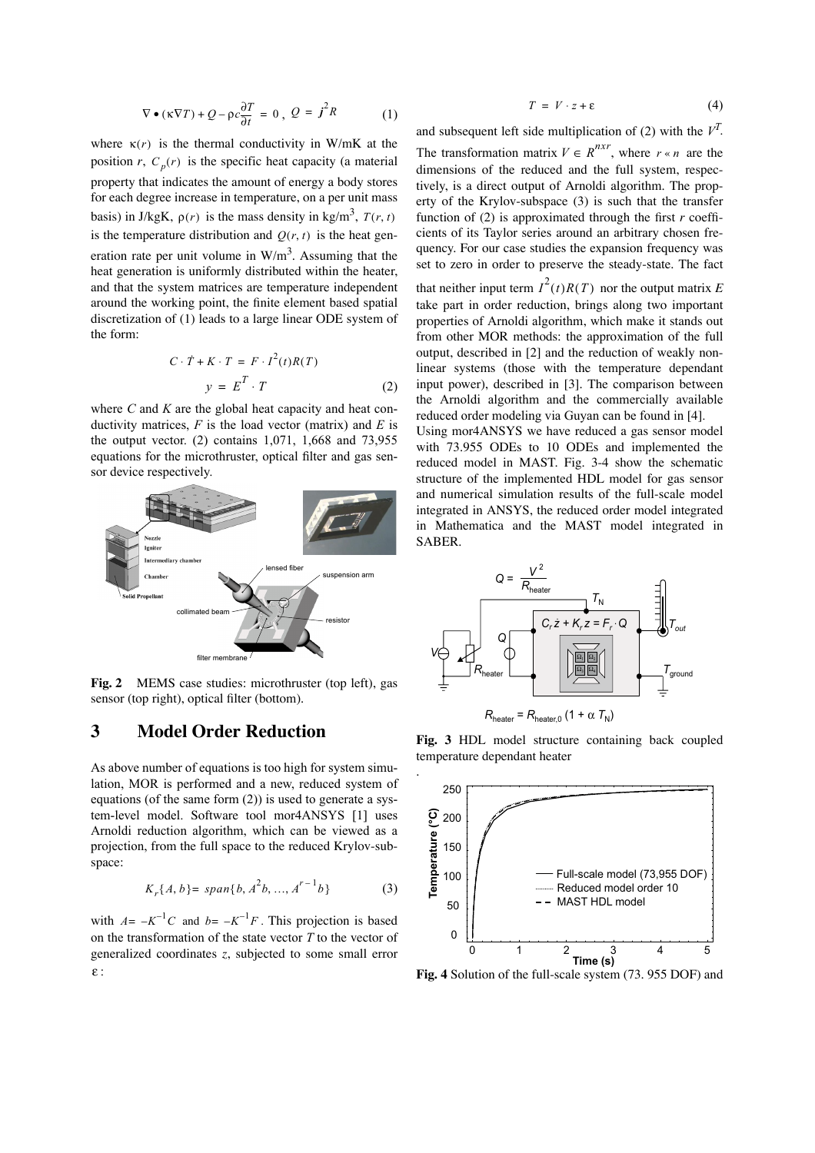$$
\nabla \bullet (\kappa \nabla T) + Q - \rho c \frac{\partial T}{\partial t} = 0, \ Q = j^2 R \tag{1}
$$

where  $\kappa(r)$  is the thermal conductivity in W/mK at the position *r*,  $C_p(r)$  is the specific heat capacity (a material property that indicates the amount of energy a body stores for each degree increase in temperature, on a per unit mass basis) in J/kgK,  $\rho(r)$  is the mass density in kg/m<sup>3</sup>,  $T(r, t)$ is the temperature distribution and  $Q(r, t)$  is the heat generation rate per unit volume in  $W/m<sup>3</sup>$ . Assuming that the heat generation is uniformly distributed within the heater, and that the system matrices are temperature independent around the working point, the finite element based spatial discretization of (1) leads to a large linear ODE system of the form:

$$
C \cdot \dot{T} + K \cdot T = F \cdot I^2(t)R(T)
$$

$$
y = E^T \cdot T
$$
 (2)

where *C* and *K* are the global heat capacity and heat conductivity matrices, *F* is the load vector (matrix) and *E* is the output vector. (2) contains 1,071, 1,668 and 73,955 equations for the microthruster, optical filter and gas sensor device respectively.



**Fig. 2** MEMS case studies: microthruster (top left), gas sensor (top right), optical filter (bottom).

# **3 Model Order Reduction**

As above number of equations is too high for system simulation, MOR is performed and a new, reduced system of equations (of the same form (2)) is used to generate a system-level model. Software tool mor4ANSYS [1] uses Arnoldi reduction algorithm, which can be viewed as a projection, from the full space to the reduced Krylov-subspace:

$$
K_r\{A, b\} = span\{b, A^2b, ..., A^{r-1}b\}
$$
 (3)

with  $A = -K^{-1}C$  and  $b = -K^{-1}F$ . This projection is based on the transformation of the state vector *T* to the vector of generalized coordinates *z*, subjected to some small error : ε

$$
T = V \cdot z + \varepsilon \tag{4}
$$

and subsequent left side multiplication of (2) with the  $V^T$ . The transformation matrix  $V \in R^{n \times r}$ , where  $r \times n$  are the dimensions of the reduced and the full system, respectively, is a direct output of Arnoldi algorithm. The property of the Krylov-subspace (3) is such that the transfer function of (2) is approximated through the first *r* coefficients of its Taylor series around an arbitrary chosen frequency. For our case studies the expansion frequency was set to zero in order to preserve the steady-state. The fact

that neither input term  $I^2(t)R(T)$  nor the output matrix E take part in order reduction, brings along two important properties of Arnoldi algorithm, which make it stands out from other MOR methods: the approximation of the full output, described in [2] and the reduction of weakly nonlinear systems (those with the temperature dependant input power), described in [3]. The comparison between the Arnoldi algorithm and the commercially available reduced order modeling via Guyan can be found in [4].

Using mor4ANSYS we have reduced a gas sensor model with 73.955 ODEs to 10 ODEs and implemented the reduced model in MAST. Fig. 3-4 show the schematic structure of the implemented HDL model for gas sensor and numerical simulation results of the full-scale model integrated in ANSYS, the reduced order model integrated in Mathematica and the MAST model integrated in SABER.



**Fig. 3** HDL model structure containing back coupled temperature dependant heater

.



**Fig. 4** Solution of the full-scale system (73. 955 DOF) and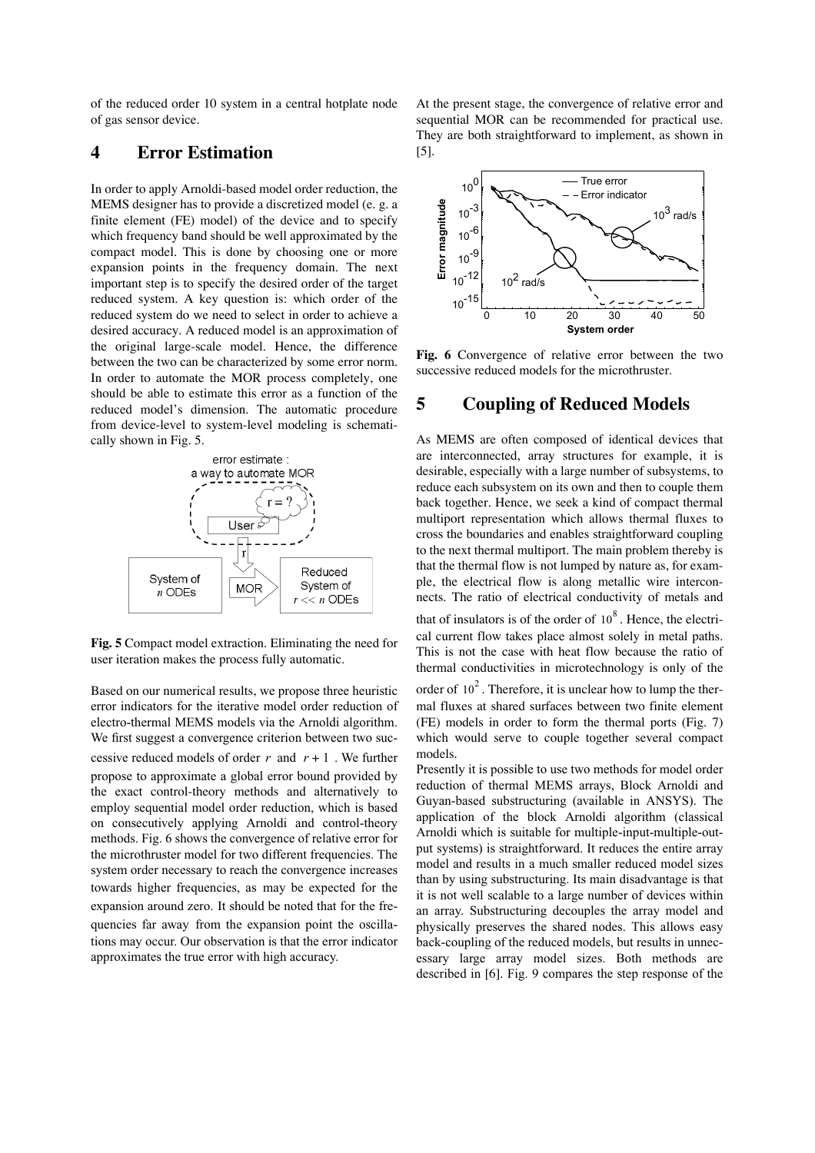of the reduced order 10 system in a central hotplate node of gas sensor device.

### **4 Error Estimation**

In order to apply Arnoldi-based model order reduction, the MEMS designer has to provide a discretized model (e. g. a finite element (FE) model) of the device and to specify which frequency band should be well approximated by the compact model. This is done by choosing one or more expansion points in the frequency domain. The next important step is to specify the desired order of the target reduced system. A key question is: which order of the reduced system do we need to select in order to achieve a desired accuracy. A reduced model is an approximation of the original large-scale model. Hence, the difference between the two can be characterized by some error norm. In order to automate the MOR process completely, one should be able to estimate this error as a function of the reduced model's dimension. The automatic procedure from device-level to system-level modeling is schematically shown in Fig. 5.



**Fig. 5** Compact model extraction. Eliminating the need for user iteration makes the process fully automatic.

Based on our numerical results, we propose three heuristic error indicators for the iterative model order reduction of electro-thermal MEMS models via the Arnoldi algorithm. We first suggest a convergence criterion between two successive reduced models of order  $r$  and  $r + 1$ . We further propose to approximate a global error bound provided by the exact control-theory methods and alternatively to employ sequential model order reduction, which is based on consecutively applying Arnoldi and control-theory methods. Fig. 6 shows the convergence of relative error for the microthruster model for two different frequencies. The system order necessary to reach the convergence increases towards higher frequencies, as may be expected for the expansion around zero. It should be noted that for the frequencies far away from the expansion point the oscillations may occur. Our observation is that the error indicator approximates the true error with high accuracy.

At the present stage, the convergence of relative error and sequential MOR can be recommended for practical use. They are both straightforward to implement, as shown in [5].



**Fig. 6** Convergence of relative error between the two successive reduced models for the microthruster.

#### **5 Coupling of Reduced Models**

As MEMS are often composed of identical devices that are interconnected, array structures for example, it is desirable, especially with a large number of subsystems, to reduce each subsystem on its own and then to couple them back together. Hence, we seek a kind of compact thermal multiport representation which allows thermal fluxes to cross the boundaries and enables straightforward coupling to the next thermal multiport. The main problem thereby is that the thermal flow is not lumped by nature as, for example, the electrical flow is along metallic wire interconnects. The ratio of electrical conductivity of metals and

that of insulators is of the order of  $10^8$ . Hence, the electrical current flow takes place almost solely in metal paths. This is not the case with heat flow because the ratio of thermal conductivities in microtechnology is only of the

order of  $10^2$ . Therefore, it is unclear how to lump the thermal fluxes at shared surfaces between two finite element (FE) models in order to form the thermal ports (Fig. 7) which would serve to couple together several compact models.

Presently it is possible to use two methods for model order reduction of thermal MEMS arrays, Block Arnoldi and Guyan-based substructuring (available in ANSYS). The application of the block Arnoldi algorithm (classical Arnoldi which is suitable for multiple-input-multiple-output systems) is straightforward. It reduces the entire array model and results in a much smaller reduced model sizes than by using substructuring. Its main disadvantage is that it is not well scalable to a large number of devices within an array. Substructuring decouples the array model and physically preserves the shared nodes. This allows easy back-coupling of the reduced models, but results in unnecessary large array model sizes. Both methods are described in [6]. Fig. 9 compares the step response of the